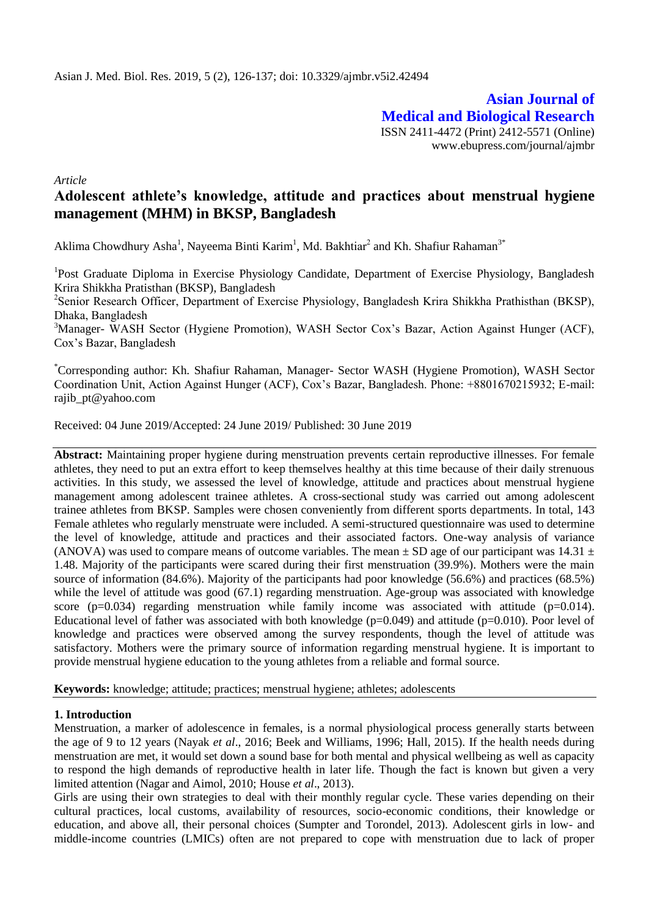**Asian Journal of Medical and Biological Research** ISSN 2411-4472 (Print) 2412-5571 (Online) www.ebupress.com/journal/ajmbr

*Article*

# **Adolescent athlete's knowledge, attitude and practices about menstrual hygiene management (MHM) in BKSP, Bangladesh**

Aklima Chowdhury Asha<sup>1</sup>, Nayeema Binti Karim<sup>1</sup>, Md. Bakhtiar<sup>2</sup> and Kh. Shafiur Rahaman<sup>3\*</sup>

<sup>1</sup>Post Graduate Diploma in Exercise Physiology Candidate, Department of Exercise Physiology, Bangladesh Krira Shikkha Pratisthan (BKSP), Bangladesh

<sup>2</sup>Senior Research Officer, Department of Exercise Physiology, Bangladesh Krira Shikkha Prathisthan (BKSP), Dhaka, Bangladesh

<sup>3</sup>Manager- WASH Sector (Hygiene Promotion), WASH Sector Cox's Bazar, Action Against Hunger (ACF), Cox's Bazar, Bangladesh

\*Corresponding author: Kh. Shafiur Rahaman, Manager- Sector WASH (Hygiene Promotion), WASH Sector Coordination Unit, Action Against Hunger (ACF), Cox's Bazar, Bangladesh. Phone: +8801670215932; E-mail: [rajib\\_pt@yahoo.com](mailto:rajib_pt@yahoo.com)

Received: 04 June 2019/Accepted: 24 June 2019/ Published: 30 June 2019

**Abstract:** Maintaining proper hygiene during menstruation prevents certain reproductive illnesses. For female athletes, they need to put an extra effort to keep themselves healthy at this time because of their daily strenuous activities. In this study, we assessed the level of knowledge, attitude and practices about menstrual hygiene management among adolescent trainee athletes. A cross-sectional study was carried out among adolescent trainee athletes from BKSP. Samples were chosen conveniently from different sports departments. In total, 143 Female athletes who regularly menstruate were included. A semi-structured questionnaire was used to determine the level of knowledge, attitude and practices and their associated factors. One-way analysis of variance (ANOVA) was used to compare means of outcome variables. The mean  $\pm$  SD age of our participant was 14.31  $\pm$ 1.48. Majority of the participants were scared during their first menstruation (39.9%). Mothers were the main source of information (84.6%). Majority of the participants had poor knowledge (56.6%) and practices (68.5%) while the level of attitude was good (67.1) regarding menstruation. Age-group was associated with knowledge score ( $p=0.034$ ) regarding menstruation while family income was associated with attitude ( $p=0.014$ ). Educational level of father was associated with both knowledge  $(p=0.049)$  and attitude  $(p=0.010)$ . Poor level of knowledge and practices were observed among the survey respondents, though the level of attitude was satisfactory. Mothers were the primary source of information regarding menstrual hygiene. It is important to provide menstrual hygiene education to the young athletes from a reliable and formal source.

**Keywords:** knowledge; attitude; practices; menstrual hygiene; athletes; adolescents

### **1. Introduction**

Menstruation, a marker of adolescence in females, is a normal physiological process generally starts between the age of 9 to 12 years (Nayak *et al*., 2016; Beek and Williams, 1996; Hall, 2015). If the health needs during menstruation are met, it would set down a sound base for both mental and physical wellbeing as well as capacity to respond the high demands of reproductive health in later life. Though the fact is known but given a very limited attention (Nagar and Aimol, 2010; House *et al*., 2013).

Girls are using their own strategies to deal with their monthly regular cycle. These varies depending on their cultural practices, local customs, availability of resources, socio-economic conditions, their knowledge or education, and above all, their personal choices (Sumpter and Torondel, 2013). Adolescent girls in low- and middle-income countries (LMICs) often are not prepared to cope with menstruation due to lack of proper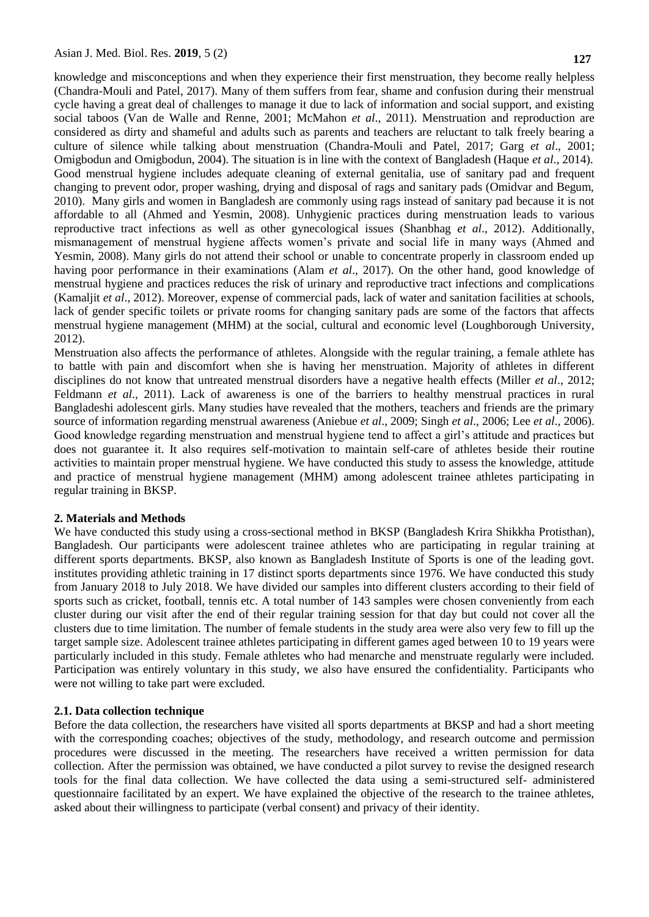knowledge and misconceptions and when they experience their first menstruation, they become really helpless (Chandra-Mouli and Patel, 2017). Many of them suffers from fear, shame and confusion during their menstrual cycle having a great deal of challenges to manage it due to lack of information and social support, and existing social taboos (Van de Walle and Renne, 2001; McMahon *et al*., 2011). Menstruation and reproduction are considered as dirty and shameful and adults such as parents and teachers are reluctant to talk freely bearing a culture of silence while talking about menstruation (Chandra-Mouli and Patel, 2017; Garg *et al*., 2001; Omigbodun and Omigbodun, 2004). The situation is in line with the context of Bangladesh (Haque *et al*., 2014). Good menstrual hygiene includes adequate cleaning of external genitalia, use of sanitary pad and frequent changing to prevent odor, proper washing, drying and disposal of rags and sanitary pads (Omidvar and Begum, 2010). Many girls and women in Bangladesh are commonly using rags instead of sanitary pad because it is not affordable to all (Ahmed and Yesmin, 2008). Unhygienic practices during menstruation leads to various reproductive tract infections as well as other gynecological issues (Shanbhag *et al*., 2012). Additionally, mismanagement of menstrual hygiene affects women's private and social life in many ways (Ahmed and Yesmin, 2008). Many girls do not attend their school or unable to concentrate properly in classroom ended up having poor performance in their examinations (Alam *et al*., 2017). On the other hand, good knowledge of menstrual hygiene and practices reduces the risk of urinary and reproductive tract infections and complications (Kamaljit *et al*., 2012). Moreover, expense of commercial pads, lack of water and sanitation facilities at schools, lack of gender specific toilets or private rooms for changing sanitary pads are some of the factors that affects menstrual hygiene management (MHM) at the social, cultural and economic level (Loughborough University, 2012).

Menstruation also affects the performance of athletes. Alongside with the regular training, a female athlete has to battle with pain and discomfort when she is having her menstruation. Majority of athletes in different disciplines do not know that untreated menstrual disorders have a negative health effects (Miller *et al*., 2012; Feldmann *et al*., 2011). Lack of awareness is one of the barriers to healthy menstrual practices in rural Bangladeshi adolescent girls. Many studies have revealed that the mothers, teachers and friends are the primary source of information regarding menstrual awareness (Aniebue *et al*., 2009; Singh *et al*., 2006; Lee *et al*., 2006). Good knowledge regarding menstruation and menstrual hygiene tend to affect a girl's attitude and practices but does not guarantee it. It also requires self-motivation to maintain self-care of athletes beside their routine activities to maintain proper menstrual hygiene. We have conducted this study to assess the knowledge, attitude and practice of menstrual hygiene management (MHM) among adolescent trainee athletes participating in regular training in BKSP.

### **2. Materials and Methods**

We have conducted this study using a cross-sectional method in BKSP (Bangladesh Krira Shikkha Protisthan), Bangladesh. Our participants were adolescent trainee athletes who are participating in regular training at different sports departments. BKSP, also known as Bangladesh Institute of Sports is one of the leading govt. institutes providing athletic training in 17 distinct sports departments since 1976. We have conducted this study from January 2018 to July 2018. We have divided our samples into different clusters according to their field of sports such as cricket, football, tennis etc. A total number of 143 samples were chosen conveniently from each cluster during our visit after the end of their regular training session for that day but could not cover all the clusters due to time limitation. The number of female students in the study area were also very few to fill up the target sample size. Adolescent trainee athletes participating in different games aged between 10 to 19 years were particularly included in this study. Female athletes who had menarche and menstruate regularly were included. Participation was entirely voluntary in this study, we also have ensured the confidentiality. Participants who were not willing to take part were excluded.

#### **2.1. Data collection technique**

Before the data collection, the researchers have visited all sports departments at BKSP and had a short meeting with the corresponding coaches; objectives of the study, methodology, and research outcome and permission procedures were discussed in the meeting. The researchers have received a written permission for data collection. After the permission was obtained, we have conducted a pilot survey to revise the designed research tools for the final data collection. We have collected the data using a semi-structured self- administered questionnaire facilitated by an expert. We have explained the objective of the research to the trainee athletes, asked about their willingness to participate (verbal consent) and privacy of their identity.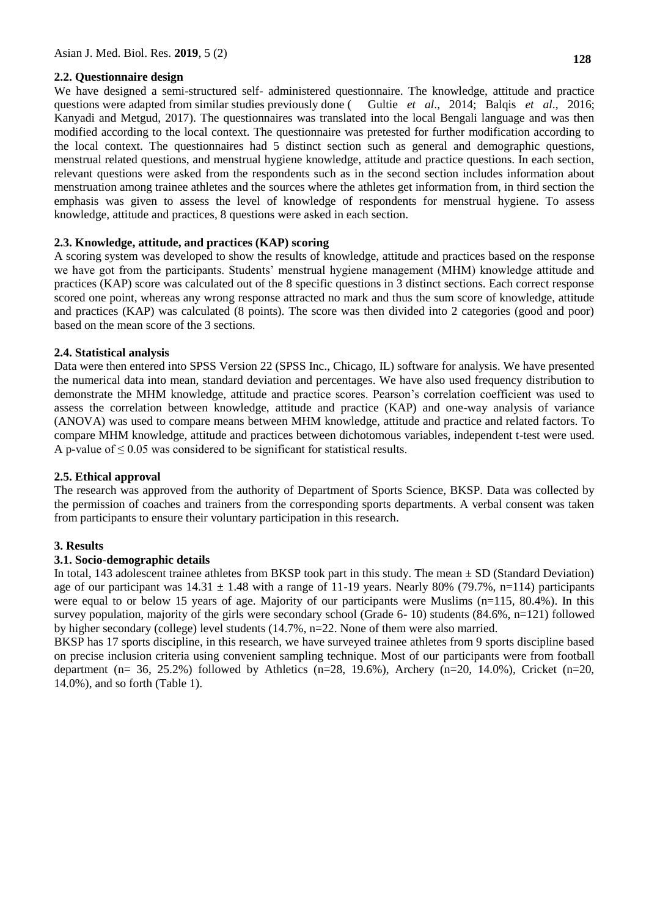### **2.2. Questionnaire design**

We have designed a semi-structured self- administered questionnaire. The knowledge, attitude and practice questions were adapted from similar studies previously done ( Gultie *et al*., 2014; Balqis *et al*., 2016; Kanyadi and Metgud, 2017). The questionnaires was translated into the local Bengali language and was then modified according to the local context. The questionnaire was pretested for further modification according to the local context. The questionnaires had 5 distinct section such as general and demographic questions, menstrual related questions, and menstrual hygiene knowledge, attitude and practice questions. In each section, relevant questions were asked from the respondents such as in the second section includes information about menstruation among trainee athletes and the sources where the athletes get information from, in third section the emphasis was given to assess the level of knowledge of respondents for menstrual hygiene. To assess knowledge, attitude and practices, 8 questions were asked in each section.

# **2.3. Knowledge, attitude, and practices (KAP) scoring**

A scoring system was developed to show the results of knowledge, attitude and practices based on the response we have got from the participants. Students' menstrual hygiene management (MHM) knowledge attitude and practices (KAP) score was calculated out of the 8 specific questions in 3 distinct sections. Each correct response scored one point, whereas any wrong response attracted no mark and thus the sum score of knowledge, attitude and practices (KAP) was calculated (8 points). The score was then divided into 2 categories (good and poor) based on the mean score of the 3 sections.

# **2.4. Statistical analysis**

Data were then entered into SPSS Version 22 (SPSS Inc., Chicago, IL) software for analysis. We have presented the numerical data into mean, standard deviation and percentages. We have also used frequency distribution to demonstrate the MHM knowledge, attitude and practice scores. Pearson's correlation coefficient was used to assess the correlation between knowledge, attitude and practice (KAP) and one-way analysis of variance (ANOVA) was used to compare means between MHM knowledge, attitude and practice and related factors. To compare MHM knowledge, attitude and practices between dichotomous variables, independent t-test were used. A p-value of  $\leq 0.05$  was considered to be significant for statistical results.

### **2.5. Ethical approval**

The research was approved from the authority of Department of Sports Science, BKSP. Data was collected by the permission of coaches and trainers from the corresponding sports departments. A verbal consent was taken from participants to ensure their voluntary participation in this research.

### **3. Results**

### **3.1. Socio-demographic details**

In total, 143 adolescent trainee athletes from BKSP took part in this study. The mean  $\pm$  SD (Standard Deviation) age of our participant was  $14.31 \pm 1.48$  with a range of 11-19 years. Nearly 80% (79.7%, n=114) participants were equal to or below 15 years of age. Majority of our participants were Muslims (n=115, 80.4%). In this survey population, majority of the girls were secondary school (Grade 6- 10) students (84.6%, n=121) followed by higher secondary (college) level students (14.7%, n=22. None of them were also married.

BKSP has 17 sports discipline, in this research, we have surveyed trainee athletes from 9 sports discipline based on precise inclusion criteria using convenient sampling technique. Most of our participants were from football department (n= 36, 25.2%) followed by Athletics (n=28, 19.6%), Archery (n=20, 14.0%), Cricket (n=20, 14.0%), and so forth (Table 1).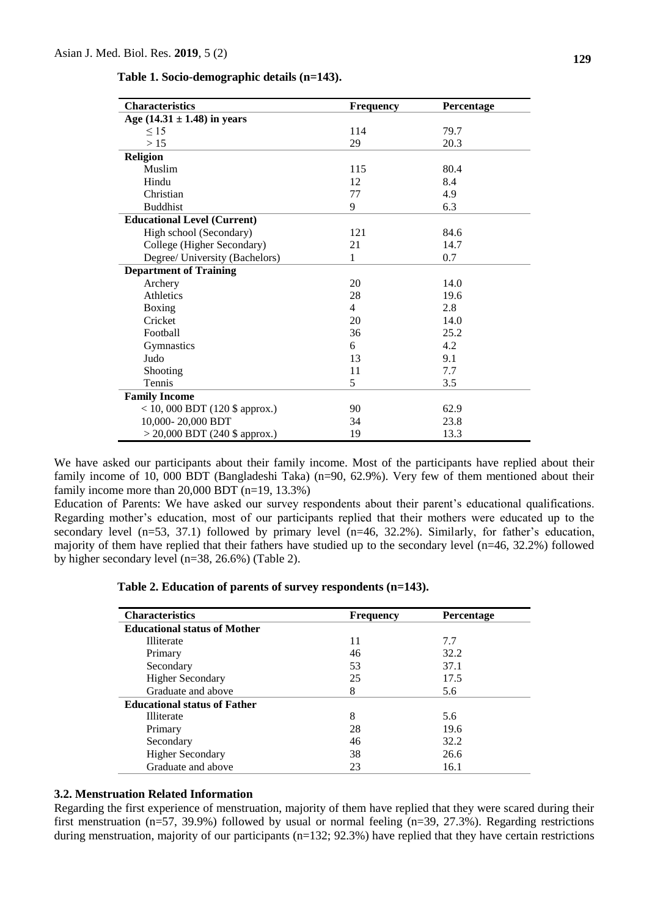| Table 1. Socio-demographic details (n=143). |  |
|---------------------------------------------|--|
|                                             |  |

| <b>Characteristics</b>             | <b>Frequency</b> | Percentage |
|------------------------------------|------------------|------------|
| Age $(14.31 \pm 1.48)$ in years    |                  |            |
| $\leq 15$                          | 114              | 79.7       |
| >15                                | 29               | 20.3       |
| <b>Religion</b>                    |                  |            |
| Muslim                             | 115              | 80.4       |
| Hindu                              | 12               | 8.4        |
| Christian                          | 77               | 4.9        |
| <b>Buddhist</b>                    | 9                | 6.3        |
| <b>Educational Level (Current)</b> |                  |            |
| High school (Secondary)            | 121              | 84.6       |
| College (Higher Secondary)         | 21               | 14.7       |
| Degree/ University (Bachelors)     | 1                | 0.7        |
| <b>Department of Training</b>      |                  |            |
| Archery                            | 20               | 14.0       |
| <b>Athletics</b>                   | 28               | 19.6       |
| Boxing                             | $\overline{4}$   | 2.8        |
| Cricket                            | 20               | 14.0       |
| Football                           | 36               | 25.2       |
| Gymnastics                         | 6                | 4.2        |
| Judo                               | 13               | 9.1        |
| Shooting                           | 11               | 7.7        |
| Tennis                             | 5                | 3.5        |
| <b>Family Income</b>               |                  |            |
| $<$ 10, 000 BDT (120 \$ approx.)   | 90               | 62.9       |
| 10,000-20,000 BDT                  | 34               | 23.8       |
| $>$ 20,000 BDT (240 \$ approx.)    | 19               | 13.3       |

We have asked our participants about their family income. Most of the participants have replied about their family income of 10, 000 BDT (Bangladeshi Taka) (n=90, 62.9%). Very few of them mentioned about their family income more than 20,000 BDT (n=19, 13.3%)

Education of Parents: We have asked our survey respondents about their parent's educational qualifications. Regarding mother's education, most of our participants replied that their mothers were educated up to the secondary level (n=53, 37.1) followed by primary level (n=46, 32.2%). Similarly, for father's education, majority of them have replied that their fathers have studied up to the secondary level (n=46, 32.2%) followed by higher secondary level (n=38, 26.6%) (Table 2).

| Table 2. Education of parents of survey respondents (n=143). |  |  |  |
|--------------------------------------------------------------|--|--|--|
|--------------------------------------------------------------|--|--|--|

| <b>Characteristics</b>              | <b>Frequency</b> | <b>Percentage</b> |
|-------------------------------------|------------------|-------------------|
| <b>Educational status of Mother</b> |                  |                   |
| <b>Illiterate</b>                   | 11               | 7.7               |
| Primary                             | 46               | 32.2              |
| Secondary                           | 53               | 37.1              |
| <b>Higher Secondary</b>             | 25               | 17.5              |
| Graduate and above                  | 8                | 5.6               |
| <b>Educational status of Father</b> |                  |                   |
| <b>Illiterate</b>                   | 8                | 5.6               |
| Primary                             | 28               | 19.6              |
| Secondary                           | 46               | 32.2              |
| <b>Higher Secondary</b>             | 38               | 26.6              |
| Graduate and above                  | 23               | 16.1              |

#### **3.2. Menstruation Related Information**

Regarding the first experience of menstruation, majority of them have replied that they were scared during their first menstruation (n=57, 39.9%) followed by usual or normal feeling (n=39, 27.3%). Regarding restrictions during menstruation, majority of our participants (n=132; 92.3%) have replied that they have certain restrictions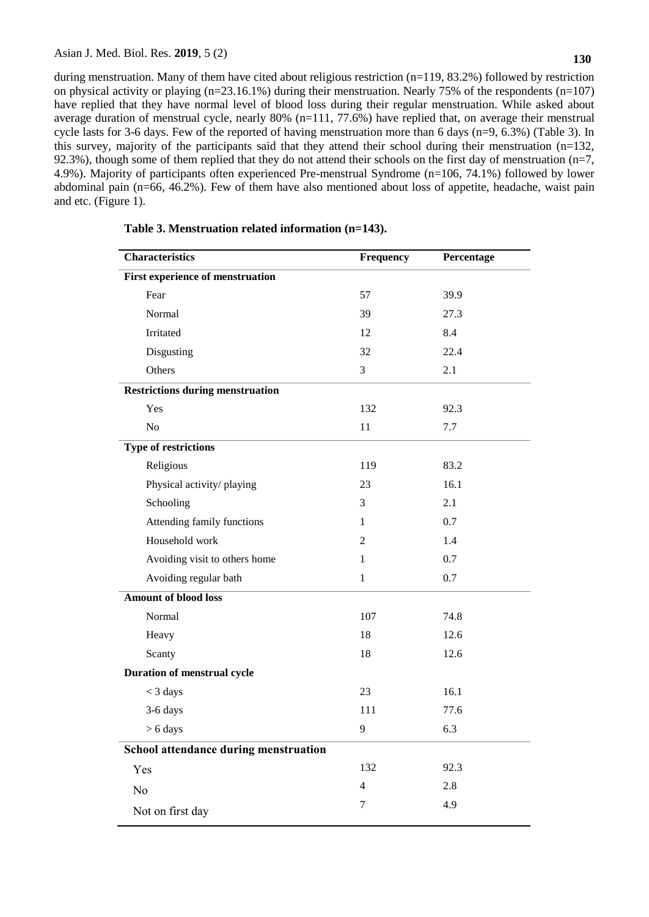during menstruation. Many of them have cited about religious restriction (n=119, 83.2%) followed by restriction on physical activity or playing  $(n=23.16.1\%)$  during their menstruation. Nearly 75% of the respondents  $(n=107)$ have replied that they have normal level of blood loss during their regular menstruation. While asked about average duration of menstrual cycle, nearly 80% (n=111, 77.6%) have replied that, on average their menstrual cycle lasts for 3-6 days. Few of the reported of having menstruation more than 6 days (n=9, 6.3%) (Table 3). In this survey, majority of the participants said that they attend their school during their menstruation (n=132, 92.3%), though some of them replied that they do not attend their schools on the first day of menstruation ( $n=7$ , 4.9%). Majority of participants often experienced Pre-menstrual Syndrome (n=106, 74.1%) followed by lower abdominal pain (n=66, 46.2%). Few of them have also mentioned about loss of appetite, headache, waist pain and etc. (Figure 1).

| <b>Characteristics</b>                  | Frequency      | Percentage |
|-----------------------------------------|----------------|------------|
| <b>First experience of menstruation</b> |                |            |
| Fear                                    | 57             | 39.9       |
| Normal                                  | 39             | 27.3       |
| Irritated                               | 12             | 8.4        |
| Disgusting                              | 32             | 22.4       |
| Others                                  | 3              | 2.1        |
| <b>Restrictions during menstruation</b> |                |            |
| Yes                                     | 132            | 92.3       |
| No                                      | 11             | 7.7        |
| <b>Type of restrictions</b>             |                |            |
| Religious                               | 119            | 83.2       |
| Physical activity/playing               | 23             | 16.1       |
| Schooling                               | 3              | 2.1        |
| Attending family functions              | 1              | 0.7        |
| Household work                          | 2              | 1.4        |
| Avoiding visit to others home           | $\mathbf{1}$   | 0.7        |
| Avoiding regular bath                   | $\mathbf{1}$   | 0.7        |
| <b>Amount of blood loss</b>             |                |            |
| Normal                                  | 107            | 74.8       |
| Heavy                                   | 18             | 12.6       |
| Scanty                                  | 18             | 12.6       |
| <b>Duration of menstrual cycle</b>      |                |            |
| $<$ 3 days                              | 23             | 16.1       |
| 3-6 days                                | 111            | 77.6       |
| $> 6$ days                              | 9              | 6.3        |
| School attendance during menstruation   |                |            |
| Yes                                     | 132            | 92.3       |
| N <sub>o</sub>                          | $\overline{4}$ | 2.8        |
| Not on first day                        | $\tau$         | 4.9        |
|                                         |                |            |

**Table 3. Menstruation related information (n=143).**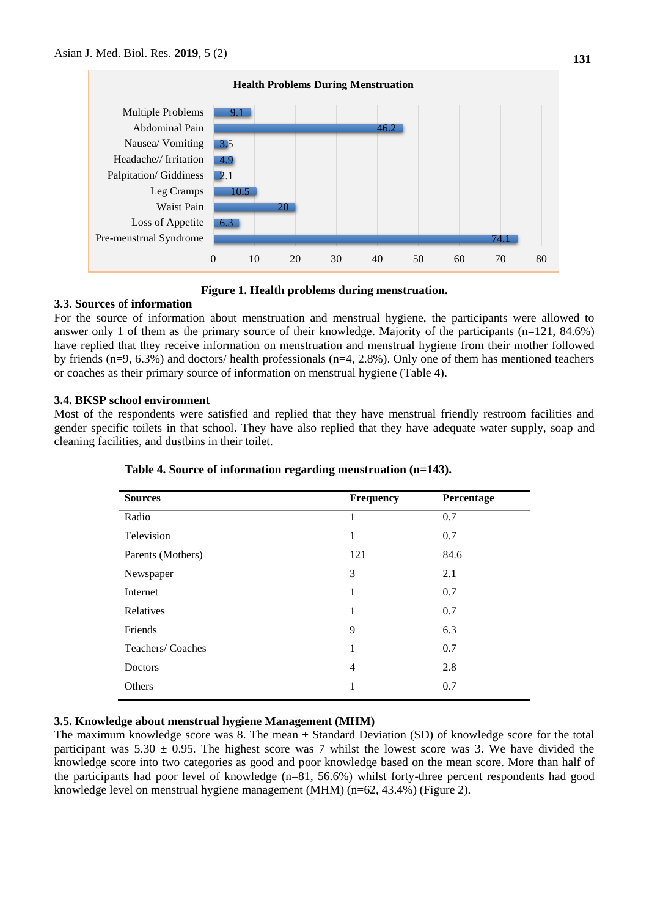



# **3.3. Sources of information**

For the source of information about menstruation and menstrual hygiene, the participants were allowed to answer only 1 of them as the primary source of their knowledge. Majority of the participants (n=121, 84.6%) have replied that they receive information on menstruation and menstrual hygiene from their mother followed by friends (n=9, 6.3%) and doctors/ health professionals (n=4, 2.8%). Only one of them has mentioned teachers or coaches as their primary source of information on menstrual hygiene (Table 4).

### **3.4. BKSP school environment**

Most of the respondents were satisfied and replied that they have menstrual friendly restroom facilities and gender specific toilets in that school. They have also replied that they have adequate water supply, soap and cleaning facilities, and dustbins in their toilet.

| <b>Sources</b>    | Frequency | Percentage |
|-------------------|-----------|------------|
| Radio             | 1         | 0.7        |
| Television        | 1         | 0.7        |
| Parents (Mothers) | 121       | 84.6       |
| Newspaper         | 3         | 2.1        |
| Internet          | 1         | 0.7        |
| Relatives         | 1         | 0.7        |
| Friends           | 9         | 6.3        |
| Teachers/Coaches  | 1         | 0.7        |
| Doctors           | 4         | 2.8        |
| Others            | 1         | 0.7        |
|                   |           |            |

**Table 4. Source of information regarding menstruation (n=143).**

# **3.5. Knowledge about menstrual hygiene Management (MHM)**

The maximum knowledge score was 8. The mean  $\pm$  Standard Deviation (SD) of knowledge score for the total participant was  $5.30 \pm 0.95$ . The highest score was 7 whilst the lowest score was 3. We have divided the knowledge score into two categories as good and poor knowledge based on the mean score. More than half of the participants had poor level of knowledge (n=81, 56.6%) whilst forty-three percent respondents had good knowledge level on menstrual hygiene management (MHM) (n=62, 43.4%) (Figure 2).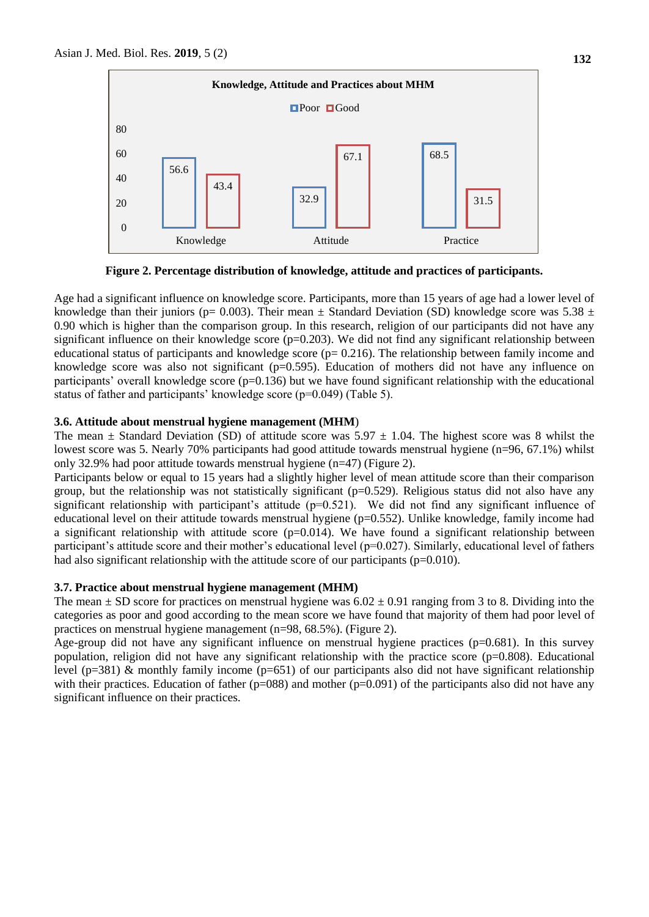

**Figure 2. Percentage distribution of knowledge, attitude and practices of participants.**

Age had a significant influence on knowledge score. Participants, more than 15 years of age had a lower level of knowledge than their juniors (p= 0.003). Their mean  $\pm$  Standard Deviation (SD) knowledge score was 5.38  $\pm$ 0.90 which is higher than the comparison group. In this research, religion of our participants did not have any significant influence on their knowledge score ( $p=0.203$ ). We did not find any significant relationship between educational status of participants and knowledge score  $(p= 0.216)$ . The relationship between family income and knowledge score was also not significant ( $p=0.595$ ). Education of mothers did not have any influence on participants' overall knowledge score (p=0.136) but we have found significant relationship with the educational status of father and participants' knowledge score (p=0.049) (Table 5).

### **3.6. Attitude about menstrual hygiene management (MHM**)

The mean  $\pm$  Standard Deviation (SD) of attitude score was 5.97  $\pm$  1.04. The highest score was 8 whilst the lowest score was 5. Nearly 70% participants had good attitude towards menstrual hygiene (n=96, 67.1%) whilst only 32.9% had poor attitude towards menstrual hygiene (n=47) (Figure 2).

Participants below or equal to 15 years had a slightly higher level of mean attitude score than their comparison group, but the relationship was not statistically significant ( $p=0.529$ ). Religious status did not also have any significant relationship with participant's attitude (p=0.521). We did not find any significant influence of educational level on their attitude towards menstrual hygiene (p=0.552). Unlike knowledge, family income had a significant relationship with attitude score  $(p=0.014)$ . We have found a significant relationship between participant's attitude score and their mother's educational level ( $p=0.027$ ). Similarly, educational level of fathers had also significant relationship with the attitude score of our participants ( $p=0.010$ ).

### **3.7. Practice about menstrual hygiene management (MHM)**

The mean  $\pm$  SD score for practices on menstrual hygiene was  $6.02 \pm 0.91$  ranging from 3 to 8. Dividing into the categories as poor and good according to the mean score we have found that majority of them had poor level of practices on menstrual hygiene management (n=98, 68.5%). (Figure 2).

Age-group did not have any significant influence on menstrual hygiene practices (p=0.681). In this survey population, religion did not have any significant relationship with the practice score  $(p=0.808)$ . Educational level ( $p=381$ ) & monthly family income ( $p=651$ ) of our participants also did not have significant relationship with their practices. Education of father ( $p=088$ ) and mother ( $p=0.091$ ) of the participants also did not have any significant influence on their practices.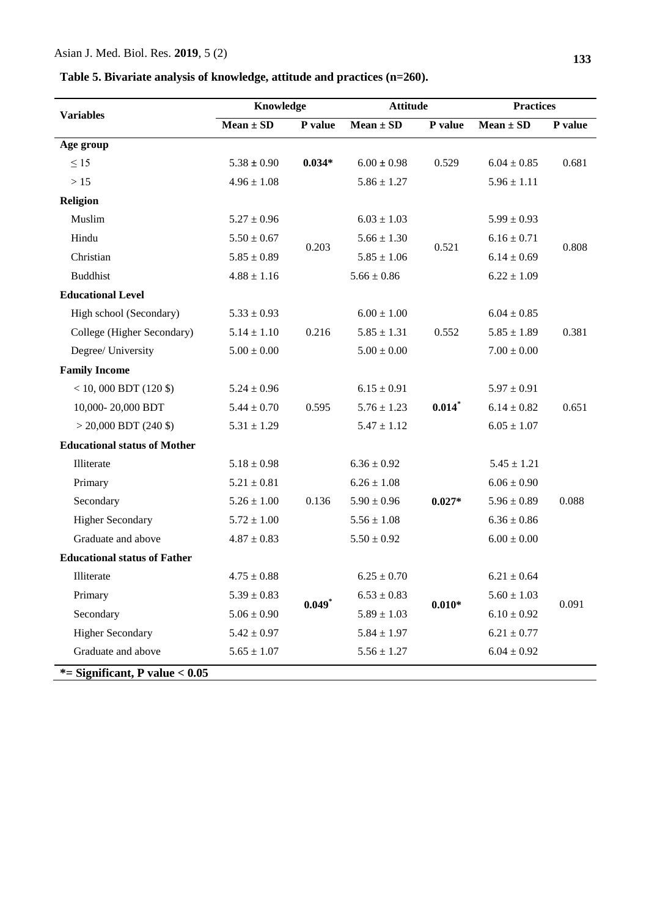# Asian J. Med. Biol. Res. **2019**, 5 (2)

# **Table 5. Bivariate analysis of knowledge, attitude and practices (n=260).**

|                                     | Knowledge       |          | <b>Attitude</b> |          | <b>Practices</b> |         |
|-------------------------------------|-----------------|----------|-----------------|----------|------------------|---------|
| <b>Variables</b>                    | $Mean \pm SD$   | P value  | $Mean \pm SD$   | P value  | $Mean \pm SD$    | P value |
| Age group                           |                 |          |                 |          |                  |         |
| $\leq 15$                           | $5.38 \pm 0.90$ | $0.034*$ | $6.00 \pm 0.98$ | 0.529    | $6.04 \pm 0.85$  | 0.681   |
| $>15$                               | $4.96 \pm 1.08$ |          | $5.86 \pm 1.27$ |          | $5.96 \pm 1.11$  |         |
| <b>Religion</b>                     |                 |          |                 |          |                  |         |
| Muslim                              | $5.27 \pm 0.96$ |          | $6.03 \pm 1.03$ |          | $5.99 \pm 0.93$  |         |
| Hindu                               | $5.50 \pm 0.67$ | 0.203    | $5.66 \pm 1.30$ |          | $6.16 \pm 0.71$  |         |
| Christian                           | $5.85 \pm 0.89$ |          | $5.85 \pm 1.06$ | 0.521    | $6.14 \pm 0.69$  | 0.808   |
| <b>Buddhist</b>                     | $4.88 \pm 1.16$ |          | $5.66 \pm 0.86$ |          | $6.22 \pm 1.09$  |         |
| <b>Educational Level</b>            |                 |          |                 |          |                  |         |
| High school (Secondary)             | $5.33 \pm 0.93$ |          | $6.00 \pm 1.00$ |          | $6.04 \pm 0.85$  |         |
| College (Higher Secondary)          | $5.14 \pm 1.10$ | 0.216    | $5.85 \pm 1.31$ | 0.552    | $5.85 \pm 1.89$  | 0.381   |
| Degree/ University                  | $5.00\pm0.00$   |          | $5.00\pm0.00$   |          | $7.00\pm0.00$    |         |
| <b>Family Income</b>                |                 |          |                 |          |                  |         |
| $<$ 10, 000 BDT (120 \$)            | $5.24 \pm 0.96$ |          | $6.15 \pm 0.91$ |          | $5.97 \pm 0.91$  |         |
| 10,000-20,000 BDT                   | $5.44 \pm 0.70$ | 0.595    | $5.76 \pm 1.23$ | $0.014*$ | $6.14 \pm 0.82$  | 0.651   |
| $>$ 20,000 BDT (240 \$)             | $5.31 \pm 1.29$ |          | $5.47 \pm 1.12$ |          | $6.05 \pm 1.07$  |         |
| <b>Educational status of Mother</b> |                 |          |                 |          |                  |         |
| Illiterate                          | $5.18 \pm 0.98$ |          | $6.36 \pm 0.92$ |          | $5.45 \pm 1.21$  |         |
| Primary                             | $5.21 \pm 0.81$ |          | $6.26 \pm 1.08$ |          | $6.06 \pm 0.90$  |         |
| Secondary                           | $5.26 \pm 1.00$ | 0.136    | $5.90\pm0.96$   | $0.027*$ | $5.96 \pm 0.89$  | 0.088   |
| <b>Higher Secondary</b>             | $5.72 \pm 1.00$ |          | $5.56\pm1.08$   |          | $6.36 \pm 0.86$  |         |
| Graduate and above                  | $4.87 \pm 0.83$ |          | $5.50 \pm 0.92$ |          | $6.00 \pm 0.00$  |         |
| <b>Educational status of Father</b> |                 |          |                 |          |                  |         |
| Illiterate                          | $4.75 \pm 0.88$ |          | $6.25 \pm 0.70$ |          | $6.21 \pm 0.64$  |         |
| Primary                             | $5.39\pm0.83$   |          | $6.53 \pm 0.83$ |          | $5.60 \pm 1.03$  |         |
| Secondary                           | $5.06 \pm 0.90$ | $0.049*$ | $5.89 \pm 1.03$ | $0.010*$ | $6.10 \pm 0.92$  | 0.091   |
| <b>Higher Secondary</b>             | $5.42 \pm 0.97$ |          | $5.84 \pm 1.97$ |          | $6.21 \pm 0.77$  |         |
| Graduate and above                  | $5.65 \pm 1.07$ |          | $5.56 \pm 1.27$ |          | $6.04 \pm 0.92$  |         |
| $*$ = Significant, P value < 0.05   |                 |          |                 |          |                  |         |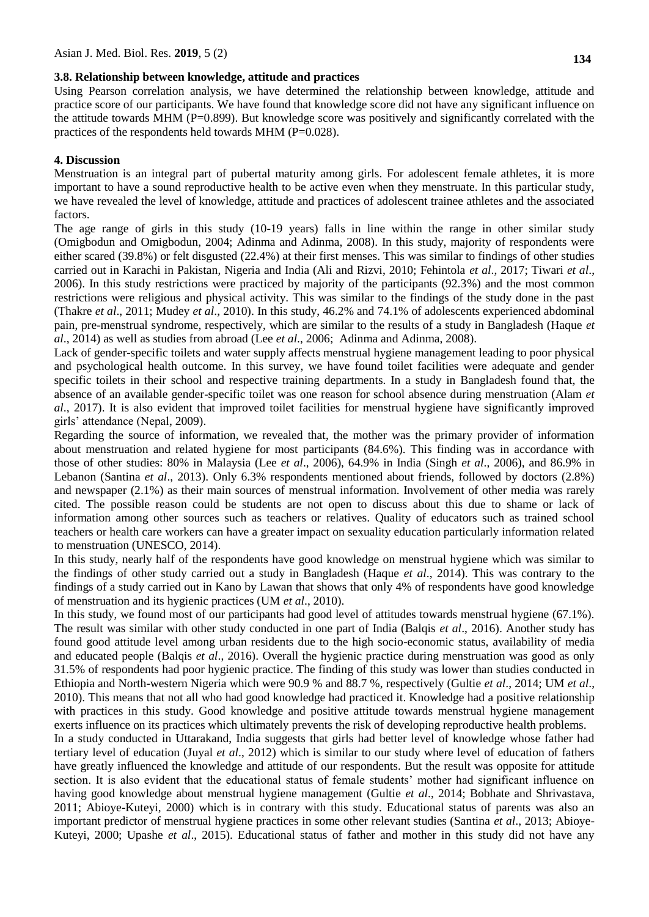# **3.8. Relationship between knowledge, attitude and practices**

Using Pearson correlation analysis, we have determined the relationship between knowledge, attitude and practice score of our participants. We have found that knowledge score did not have any significant influence on the attitude towards MHM ( $P=0.899$ ). But knowledge score was positively and significantly correlated with the practices of the respondents held towards MHM (P=0.028).

### **4. Discussion**

Menstruation is an integral part of pubertal maturity among girls. For adolescent female athletes, it is more important to have a sound reproductive health to be active even when they menstruate. In this particular study, we have revealed the level of knowledge, attitude and practices of adolescent trainee athletes and the associated factors.

The age range of girls in this study (10-19 years) falls in line within the range in other similar study (Omigbodun and Omigbodun, 2004; Adinma and Adinma, 2008). In this study, majority of respondents were either scared (39.8%) or felt disgusted (22.4%) at their first menses. This was similar to findings of other studies carried out in Karachi in Pakistan, Nigeria and India (Ali and Rizvi, 2010; Fehintola *et al*., 2017; Tiwari *et al*., 2006). In this study restrictions were practiced by majority of the participants (92.3%) and the most common restrictions were religious and physical activity. This was similar to the findings of the study done in the past (Thakre *et al*., 2011; Mudey *et al*., 2010). In this study, 46.2% and 74.1% of adolescents experienced abdominal pain, pre-menstrual syndrome, respectively, which are similar to the results of a study in Bangladesh (Haque *et al*., 2014) as well as studies from abroad (Lee *et al*., 2006; Adinma and Adinma, 2008).

Lack of gender-specific toilets and water supply affects menstrual hygiene management leading to poor physical and psychological health outcome. In this survey, we have found toilet facilities were adequate and gender specific toilets in their school and respective training departments. In a study in Bangladesh found that, the absence of an available gender-specific toilet was one reason for school absence during menstruation (Alam *et al*., 2017). It is also evident that improved toilet facilities for menstrual hygiene have significantly improved girls' attendance (Nepal, 2009).

Regarding the source of information, we revealed that, the mother was the primary provider of information about menstruation and related hygiene for most participants (84.6%). This finding was in accordance with those of other studies: 80% in Malaysia (Lee *et al*., 2006), 64.9% in India (Singh *et al*., 2006), and 86.9% in Lebanon (Santina *et al*., 2013). Only 6.3% respondents mentioned about friends, followed by doctors (2.8%) and newspaper (2.1%) as their main sources of menstrual information. Involvement of other media was rarely cited. The possible reason could be students are not open to discuss about this due to shame or lack of information among other sources such as teachers or relatives. Quality of educators such as trained school teachers or health care workers can have a greater impact on sexuality education particularly information related to menstruation (UNESCO, 2014).

In this study, nearly half of the respondents have good knowledge on menstrual hygiene which was similar to the findings of other study carried out a study in Bangladesh (Haque *et al*., 2014). This was contrary to the findings of a study carried out in Kano by Lawan that shows that only 4% of respondents have good knowledge of menstruation and its hygienic practices (UM *et al*., 2010).

In this study, we found most of our participants had good level of attitudes towards menstrual hygiene (67.1%). The result was similar with other study conducted in one part of India (Balqis *et al*., 2016). Another study has found good attitude level among urban residents due to the high socio-economic status, availability of media and educated people (Balqis *et al*., 2016). Overall the hygienic practice during menstruation was good as only 31.5% of respondents had poor hygienic practice. The finding of this study was lower than studies conducted in Ethiopia and North-western Nigeria which were 90.9 % and 88.7 %, respectively (Gultie *et al*., 2014; UM *et al*., 2010). This means that not all who had good knowledge had practiced it. Knowledge had a positive relationship with practices in this study. Good knowledge and positive attitude towards menstrual hygiene management exerts influence on its practices which ultimately prevents the risk of developing reproductive health problems.

In a study conducted in Uttarakand, India suggests that girls had better level of knowledge whose father had tertiary level of education (Juyal *et al*., 2012) which is similar to our study where level of education of fathers have greatly influenced the knowledge and attitude of our respondents. But the result was opposite for attitude section. It is also evident that the educational status of female students' mother had significant influence on having good knowledge about menstrual hygiene management (Gultie *et al*., 2014; Bobhate and Shrivastava, 2011; Abioye-Kuteyi, 2000) which is in contrary with this study. Educational status of parents was also an important predictor of menstrual hygiene practices in some other relevant studies (Santina *et al*., 2013; Abioye-Kuteyi, 2000; Upashe *et al*., 2015). Educational status of father and mother in this study did not have any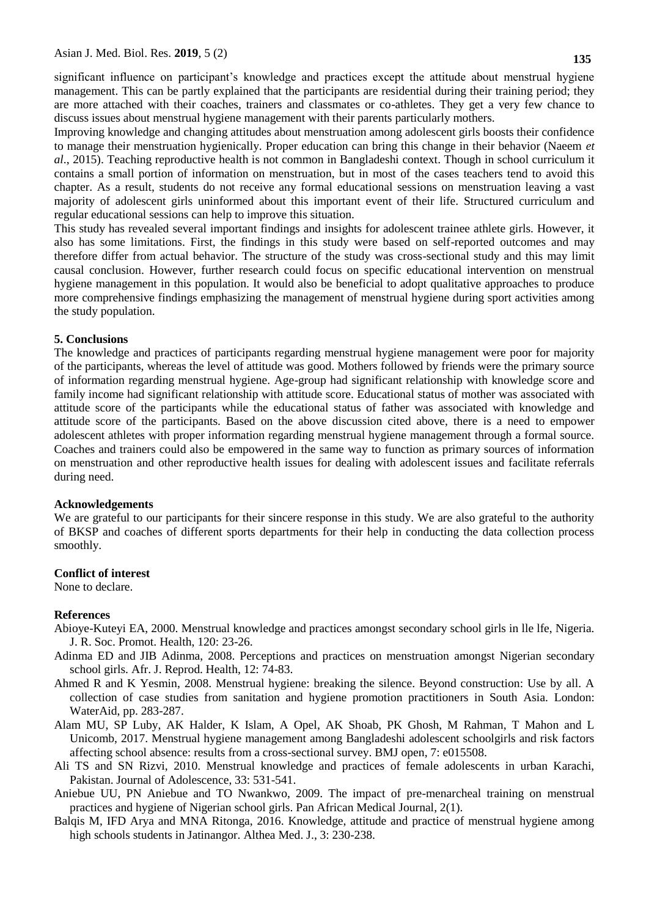significant influence on participant's knowledge and practices except the attitude about menstrual hygiene management. This can be partly explained that the participants are residential during their training period; they are more attached with their coaches, trainers and classmates or co-athletes. They get a very few chance to discuss issues about menstrual hygiene management with their parents particularly mothers.

Improving knowledge and changing attitudes about menstruation among adolescent girls boosts their confidence to manage their menstruation hygienically. Proper education can bring this change in their behavior (Naeem *et al*., 2015). Teaching reproductive health is not common in Bangladeshi context. Though in school curriculum it contains a small portion of information on menstruation, but in most of the cases teachers tend to avoid this chapter. As a result, students do not receive any formal educational sessions on menstruation leaving a vast majority of adolescent girls uninformed about this important event of their life. Structured curriculum and regular educational sessions can help to improve this situation.

This study has revealed several important findings and insights for adolescent trainee athlete girls. However, it also has some limitations. First, the findings in this study were based on self-reported outcomes and may therefore differ from actual behavior. The structure of the study was cross-sectional study and this may limit causal conclusion. However, further research could focus on specific educational intervention on menstrual hygiene management in this population. It would also be beneficial to adopt qualitative approaches to produce more comprehensive findings emphasizing the management of menstrual hygiene during sport activities among the study population.

#### **5. Conclusions**

The knowledge and practices of participants regarding menstrual hygiene management were poor for majority of the participants, whereas the level of attitude was good. Mothers followed by friends were the primary source of information regarding menstrual hygiene. Age-group had significant relationship with knowledge score and family income had significant relationship with attitude score. Educational status of mother was associated with attitude score of the participants while the educational status of father was associated with knowledge and attitude score of the participants. Based on the above discussion cited above, there is a need to empower adolescent athletes with proper information regarding menstrual hygiene management through a formal source. Coaches and trainers could also be empowered in the same way to function as primary sources of information on menstruation and other reproductive health issues for dealing with adolescent issues and facilitate referrals during need.

### **Acknowledgements**

We are grateful to our participants for their sincere response in this study. We are also grateful to the authority of BKSP and coaches of different sports departments for their help in conducting the data collection process smoothly.

#### **Conflict of interest**

None to declare.

### **References**

- Abioye-Kuteyi EA, 2000. Menstrual knowledge and practices amongst secondary school girls in lle lfe, Nigeria. J. R. Soc. Promot. Health, 120: 23-26.
- Adinma ED and JIB Adinma, 2008. Perceptions and practices on menstruation amongst Nigerian secondary school girls. Afr. J. Reprod. Health, 12: 74-83.
- Ahmed R and K Yesmin, 2008. Menstrual hygiene: breaking the silence. Beyond construction: Use by all. A collection of case studies from sanitation and hygiene promotion practitioners in South Asia. London: WaterAid, pp. 283-287.
- Alam MU, SP Luby, AK Halder, K Islam, A Opel, AK Shoab, PK Ghosh, M Rahman, T Mahon and L Unicomb, 2017. Menstrual hygiene management among Bangladeshi adolescent schoolgirls and risk factors affecting school absence: results from a cross-sectional survey. BMJ open, 7: e015508.
- Ali TS and SN Rizvi, 2010. Menstrual knowledge and practices of female adolescents in urban Karachi, Pakistan. Journal of Adolescence, 33: 531-541.
- Aniebue UU, PN Aniebue and TO Nwankwo, 2009. The impact of pre-menarcheal training on menstrual practices and hygiene of Nigerian school girls. Pan African Medical Journal, 2(1).
- Balqis M, IFD Arya and MNA Ritonga, 2016. Knowledge, attitude and practice of menstrual hygiene among high schools students in Jatinangor. Althea Med. J., 3: 230-238.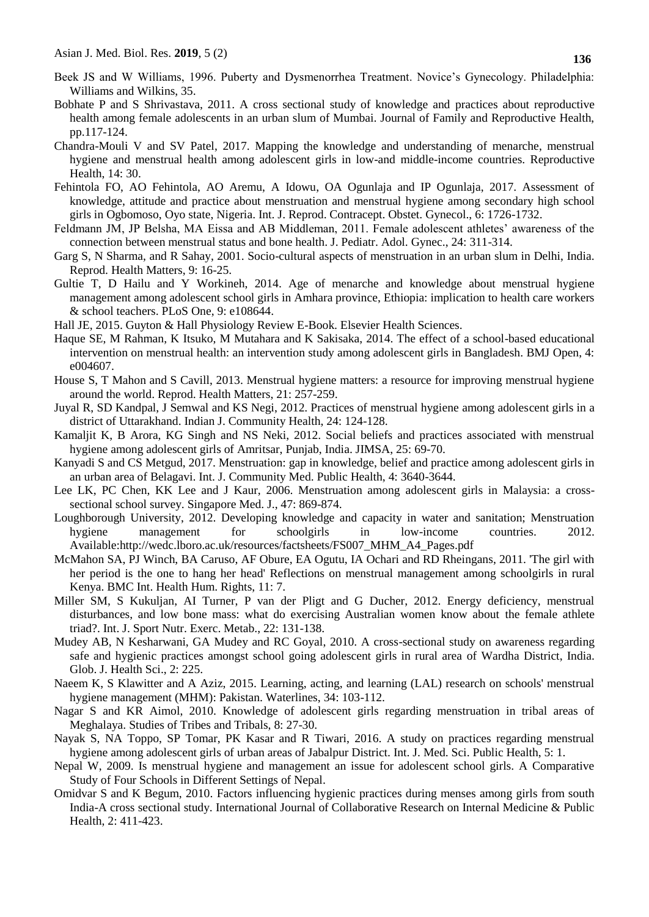- Beek JS and W Williams, 1996. Puberty and Dysmenorrhea Treatment. Novice's Gynecology. Philadelphia: Williams and Wilkins, 35.
- Bobhate P and S Shrivastava, 2011. A cross sectional study of knowledge and practices about reproductive health among female adolescents in an urban slum of Mumbai. Journal of Family and Reproductive Health, pp.117-124.
- Chandra-Mouli V and SV Patel, 2017. Mapping the knowledge and understanding of menarche, menstrual hygiene and menstrual health among adolescent girls in low-and middle-income countries. Reproductive Health, 14: 30.
- Fehintola FO, AO Fehintola, AO Aremu, A Idowu, OA Ogunlaja and IP Ogunlaja, 2017. Assessment of knowledge, attitude and practice about menstruation and menstrual hygiene among secondary high school girls in Ogbomoso, Oyo state, Nigeria. Int. J. Reprod. Contracept. Obstet. Gynecol., 6: 1726-1732.
- Feldmann JM, JP Belsha, MA Eissa and AB Middleman, 2011. Female adolescent athletes' awareness of the connection between menstrual status and bone health. J. Pediatr. Adol. Gynec., 24: 311-314.
- Garg S, N Sharma, and R Sahay, 2001. Socio-cultural aspects of menstruation in an urban slum in Delhi, India. Reprod. Health Matters, 9: 16-25.
- Gultie T, D Hailu and Y Workineh, 2014. Age of menarche and knowledge about menstrual hygiene management among adolescent school girls in Amhara province, Ethiopia: implication to health care workers & school teachers. PLoS One, 9: e108644.
- Hall JE, 2015. Guyton & Hall Physiology Review E-Book. Elsevier Health Sciences.
- Haque SE, M Rahman, K Itsuko, M Mutahara and K Sakisaka, 2014. The effect of a school-based educational intervention on menstrual health: an intervention study among adolescent girls in Bangladesh. BMJ Open, 4: e004607.
- House S, T Mahon and S Cavill, 2013. Menstrual hygiene matters: a resource for improving menstrual hygiene around the world. Reprod. Health Matters, 21: 257-259.
- Juyal R, SD Kandpal, J Semwal and KS Negi, 2012. Practices of menstrual hygiene among adolescent girls in a district of Uttarakhand. Indian J. Community Health, 24: 124-128.
- Kamaljit K, B Arora, KG Singh and NS Neki, 2012. Social beliefs and practices associated with menstrual hygiene among adolescent girls of Amritsar, Punjab, India. JIMSA, 25: 69-70.
- Kanyadi S and CS Metgud, 2017. Menstruation: gap in knowledge, belief and practice among adolescent girls in an urban area of Belagavi. Int. J. Community Med. Public Health, 4: 3640-3644.
- Lee LK, PC Chen, KK Lee and J Kaur, 2006. Menstruation among adolescent girls in Malaysia: a crosssectional school survey. Singapore Med. J., 47: 869-874.
- Loughborough University, 2012. Developing knowledge and capacity in water and sanitation; Menstruation hygiene management for schoolgirls in low-income countries. 2012. Available:http://wedc.lboro.ac.uk/resources/factsheets/FS007\_MHM\_A4\_Pages.pdf
- McMahon SA, PJ Winch, BA Caruso, AF Obure, EA Ogutu, IA Ochari and RD Rheingans, 2011. 'The girl with her period is the one to hang her head' Reflections on menstrual management among schoolgirls in rural Kenya. BMC Int. Health Hum. Rights, 11: 7.
- Miller SM, S Kukuljan, AI Turner, P van der Pligt and G Ducher, 2012. Energy deficiency, menstrual disturbances, and low bone mass: what do exercising Australian women know about the female athlete triad?. Int. J. Sport Nutr. Exerc. Metab., 22: 131-138.
- Mudey AB, N Kesharwani, GA Mudey and RC Goyal, 2010. A cross-sectional study on awareness regarding safe and hygienic practices amongst school going adolescent girls in rural area of Wardha District, India. Glob. J. Health Sci., 2: 225.
- Naeem K, S Klawitter and A Aziz, 2015. Learning, acting, and learning (LAL) research on schools' menstrual hygiene management (MHM): Pakistan. Waterlines, 34: 103-112.
- Nagar S and KR Aimol, 2010. Knowledge of adolescent girls regarding menstruation in tribal areas of Meghalaya. Studies of Tribes and Tribals, 8: 27-30.
- Nayak S, NA Toppo, SP Tomar, PK Kasar and R Tiwari, 2016. A study on practices regarding menstrual hygiene among adolescent girls of urban areas of Jabalpur District. Int. J. Med. Sci. Public Health, 5: 1.
- Nepal W, 2009. Is menstrual hygiene and management an issue for adolescent school girls. A Comparative Study of Four Schools in Different Settings of Nepal.
- Omidvar S and K Begum, 2010. Factors influencing hygienic practices during menses among girls from south India-A cross sectional study. International Journal of Collaborative Research on Internal Medicine & Public Health, 2: 411-423.